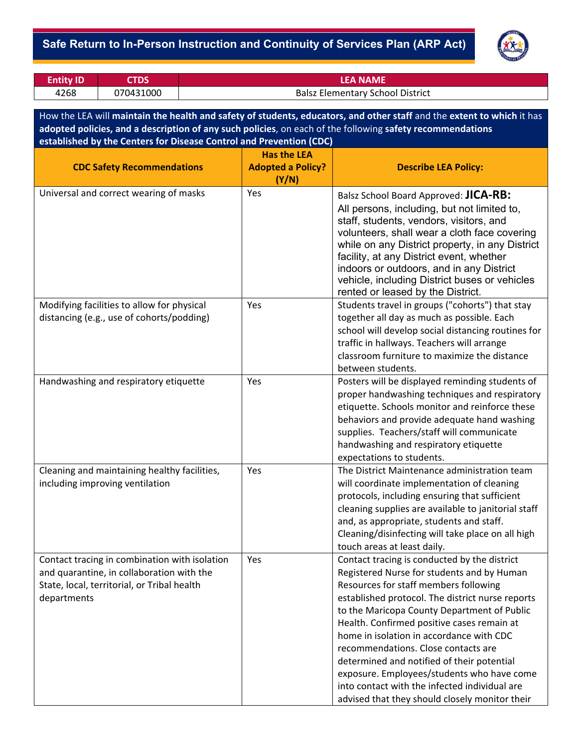### ‐ **Safe Return to In-Person Instruction and Continuity of Services Plan (ARP Act)**



| Entity ID | <b>CTDS</b> | LEA NAME                                |
|-----------|-------------|-----------------------------------------|
| 4268      | 070431000   | <b>Balsz Elementary School District</b> |

How the LEA will **maintain the health and safety of students, educators, and other staff** and the **extent to which** it has **adopted policies, and a description of any such policies**, on each of the following **safety recommendations established by the Centers for Disease Control and Prevention (CDC)**

| <b>CDC Safety Recommendations</b>                                                                                                                        | <b>Has the LEA</b><br><b>Adopted a Policy?</b> | <b>Describe LEA Policy:</b>                                                                                                                                                                                                                                                                                                                                                                                                                                                                                                                                            |  |
|----------------------------------------------------------------------------------------------------------------------------------------------------------|------------------------------------------------|------------------------------------------------------------------------------------------------------------------------------------------------------------------------------------------------------------------------------------------------------------------------------------------------------------------------------------------------------------------------------------------------------------------------------------------------------------------------------------------------------------------------------------------------------------------------|--|
|                                                                                                                                                          | (Y/N)                                          |                                                                                                                                                                                                                                                                                                                                                                                                                                                                                                                                                                        |  |
| Universal and correct wearing of masks                                                                                                                   | Yes                                            | Balsz School Board Approved: JICA-RB:<br>All persons, including, but not limited to,<br>staff, students, vendors, visitors, and<br>volunteers, shall wear a cloth face covering<br>while on any District property, in any District<br>facility, at any District event, whether<br>indoors or outdoors, and in any District<br>vehicle, including District buses or vehicles<br>rented or leased by the District.                                                                                                                                                       |  |
| Modifying facilities to allow for physical<br>distancing (e.g., use of cohorts/podding)                                                                  | Yes                                            | Students travel in groups ("cohorts") that stay<br>together all day as much as possible. Each<br>school will develop social distancing routines for<br>traffic in hallways. Teachers will arrange<br>classroom furniture to maximize the distance<br>between students.                                                                                                                                                                                                                                                                                                 |  |
| Handwashing and respiratory etiquette                                                                                                                    | Yes                                            | Posters will be displayed reminding students of<br>proper handwashing techniques and respiratory<br>etiquette. Schools monitor and reinforce these<br>behaviors and provide adequate hand washing<br>supplies. Teachers/staff will communicate<br>handwashing and respiratory etiquette<br>expectations to students.                                                                                                                                                                                                                                                   |  |
| Cleaning and maintaining healthy facilities,<br>including improving ventilation                                                                          | Yes                                            | The District Maintenance administration team<br>will coordinate implementation of cleaning<br>protocols, including ensuring that sufficient<br>cleaning supplies are available to janitorial staff<br>and, as appropriate, students and staff.<br>Cleaning/disinfecting will take place on all high<br>touch areas at least daily.                                                                                                                                                                                                                                     |  |
| Contact tracing in combination with isolation<br>and quarantine, in collaboration with the<br>State, local, territorial, or Tribal health<br>departments | Yes                                            | Contact tracing is conducted by the district<br>Registered Nurse for students and by Human<br>Resources for staff members following<br>established protocol. The district nurse reports<br>to the Maricopa County Department of Public<br>Health. Confirmed positive cases remain at<br>home in isolation in accordance with CDC<br>recommendations. Close contacts are<br>determined and notified of their potential<br>exposure. Employees/students who have come<br>into contact with the infected individual are<br>advised that they should closely monitor their |  |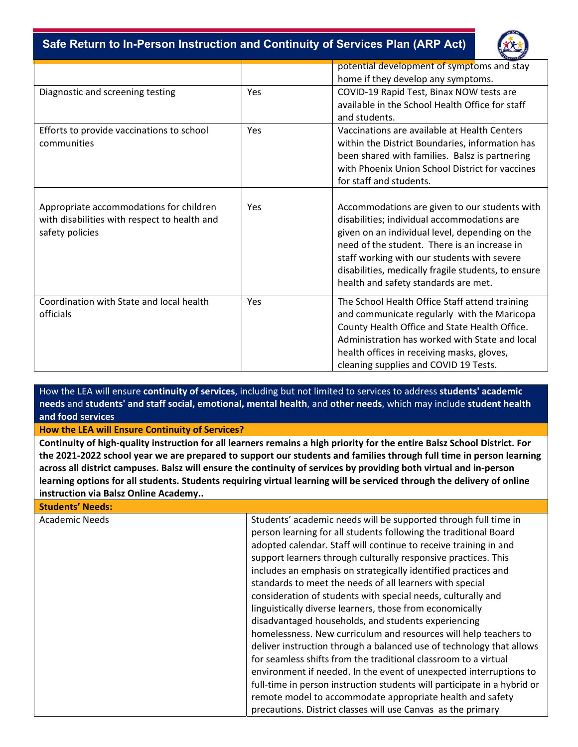‐ **Safe Return to In-Person Instruction and Continuity of Services Plan (ARP Act)**



|                                                                                                            |     | potential development of symptoms and stay<br>home if they develop any symptoms.                                                                                                                                                                                                                                                             |  |
|------------------------------------------------------------------------------------------------------------|-----|----------------------------------------------------------------------------------------------------------------------------------------------------------------------------------------------------------------------------------------------------------------------------------------------------------------------------------------------|--|
| Diagnostic and screening testing                                                                           | Yes | COVID-19 Rapid Test, Binax NOW tests are<br>available in the School Health Office for staff<br>and students.                                                                                                                                                                                                                                 |  |
| Efforts to provide vaccinations to school<br>communities                                                   | Yes | Vaccinations are available at Health Centers<br>within the District Boundaries, information has<br>been shared with families. Balsz is partnering<br>with Phoenix Union School District for vaccines<br>for staff and students.                                                                                                              |  |
| Appropriate accommodations for children<br>with disabilities with respect to health and<br>safety policies | Yes | Accommodations are given to our students with<br>disabilities; individual accommodations are<br>given on an individual level, depending on the<br>need of the student. There is an increase in<br>staff working with our students with severe<br>disabilities, medically fragile students, to ensure<br>health and safety standards are met. |  |
| Coordination with State and local health<br>officials                                                      | Yes | The School Health Office Staff attend training<br>and communicate regularly with the Maricopa<br>County Health Office and State Health Office.<br>Administration has worked with State and local<br>health offices in receiving masks, gloves,<br>cleaning supplies and COVID 19 Tests.                                                      |  |

How the LEA will ensure **continuity of services**, including but not limited to services to address **students' academic needs** and **students' and staff social, emotional, mental health**, and **other needs**, which may include **student health and food services**

**How the LEA will Ensure Continuity of Services?** 

**Continuity of high‐quality instruction for all learners remains a high priority for the entire Balsz School District. For the 2021‐2022 school year we are prepared to support our students and families through full time in person learning across all district campuses. Balsz will ensure the continuity of services by providing both virtual and in‐person learning options for all students. Students requiring virtual learning will be serviced through the delivery of online instruction via Balsz Online Academy..** 

## **Students' Needs:**

Academic Needs **Students'** Students' academic needs will be supported through full time in person learning for all students following the traditional Board adopted calendar. Staff will continue to receive training in and support learners through culturally responsive practices. This includes an emphasis on strategically identified practices and standards to meet the needs of all learners with special consideration of students with special needs, culturally and linguistically diverse learners, those from economically disadvantaged households, and students experiencing homelessness. New curriculum and resources will help teachers to deliver instruction through a balanced use of technology that allows for seamless shifts from the traditional classroom to a virtual environment if needed. In the event of unexpected interruptions to full-time in person instruction students will participate in a hybrid or remote model to accommodate appropriate health and safety precautions. District classes will use Canvas as the primary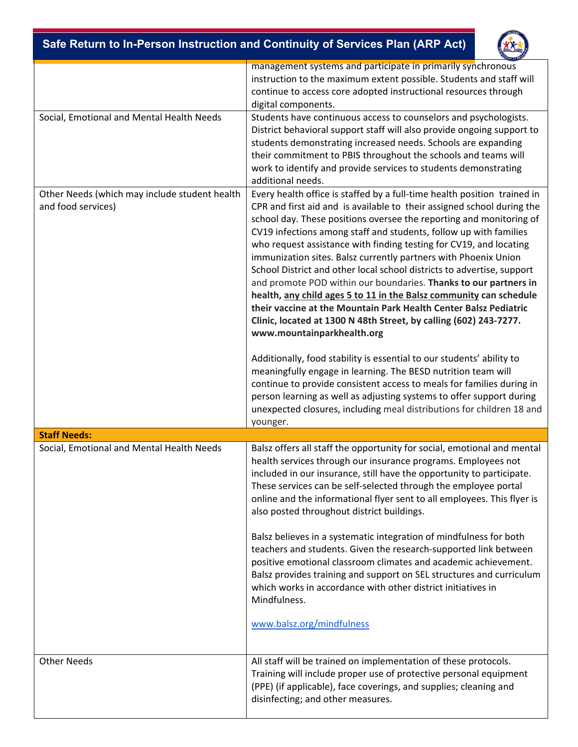|                                                                     | Safe Return to In-Person Instruction and Continuity of Services Plan (ARP Act)                                                                                                                                                                                                                                                                                                                                                                                                                                                                                                                                                                                                                                                                                                                                                                                                                                                                                               |  |  |
|---------------------------------------------------------------------|------------------------------------------------------------------------------------------------------------------------------------------------------------------------------------------------------------------------------------------------------------------------------------------------------------------------------------------------------------------------------------------------------------------------------------------------------------------------------------------------------------------------------------------------------------------------------------------------------------------------------------------------------------------------------------------------------------------------------------------------------------------------------------------------------------------------------------------------------------------------------------------------------------------------------------------------------------------------------|--|--|
|                                                                     | management systems and participate in primarily synchronous<br>instruction to the maximum extent possible. Students and staff will<br>continue to access core adopted instructional resources through<br>digital components.                                                                                                                                                                                                                                                                                                                                                                                                                                                                                                                                                                                                                                                                                                                                                 |  |  |
| Social, Emotional and Mental Health Needs                           | Students have continuous access to counselors and psychologists.<br>District behavioral support staff will also provide ongoing support to<br>students demonstrating increased needs. Schools are expanding<br>their commitment to PBIS throughout the schools and teams will<br>work to identify and provide services to students demonstrating<br>additional needs.                                                                                                                                                                                                                                                                                                                                                                                                                                                                                                                                                                                                        |  |  |
| Other Needs (which may include student health<br>and food services) | Every health office is staffed by a full-time health position trained in<br>CPR and first aid and is available to their assigned school during the<br>school day. These positions oversee the reporting and monitoring of<br>CV19 infections among staff and students, follow up with families<br>who request assistance with finding testing for CV19, and locating<br>immunization sites. Balsz currently partners with Phoenix Union<br>School District and other local school districts to advertise, support<br>and promote POD within our boundaries. Thanks to our partners in<br>health, any child ages 5 to 11 in the Balsz community can schedule<br>their vaccine at the Mountain Park Health Center Balsz Pediatric<br>Clinic, located at 1300 N 48th Street, by calling (602) 243-7277.<br>www.mountainparkhealth.org<br>Additionally, food stability is essential to our students' ability to<br>meaningfully engage in learning. The BESD nutrition team will |  |  |
|                                                                     | continue to provide consistent access to meals for families during in<br>person learning as well as adjusting systems to offer support during<br>unexpected closures, including meal distributions for children 18 and<br>younger.                                                                                                                                                                                                                                                                                                                                                                                                                                                                                                                                                                                                                                                                                                                                           |  |  |
| <b>Staff Needs:</b>                                                 |                                                                                                                                                                                                                                                                                                                                                                                                                                                                                                                                                                                                                                                                                                                                                                                                                                                                                                                                                                              |  |  |
| Social, Emotional and Mental Health Needs                           | Balsz offers all staff the opportunity for social, emotional and mental<br>health services through our insurance programs. Employees not<br>included in our insurance, still have the opportunity to participate.<br>These services can be self-selected through the employee portal<br>online and the informational flyer sent to all employees. This flyer is<br>also posted throughout district buildings.                                                                                                                                                                                                                                                                                                                                                                                                                                                                                                                                                                |  |  |
|                                                                     | Balsz believes in a systematic integration of mindfulness for both<br>teachers and students. Given the research-supported link between<br>positive emotional classroom climates and academic achievement.<br>Balsz provides training and support on SEL structures and curriculum<br>which works in accordance with other district initiatives in<br>Mindfulness.<br>www.balsz.org/mindfulness                                                                                                                                                                                                                                                                                                                                                                                                                                                                                                                                                                               |  |  |
| <b>Other Needs</b>                                                  | All staff will be trained on implementation of these protocols.<br>Training will include proper use of protective personal equipment<br>(PPE) (if applicable), face coverings, and supplies; cleaning and<br>disinfecting; and other measures.                                                                                                                                                                                                                                                                                                                                                                                                                                                                                                                                                                                                                                                                                                                               |  |  |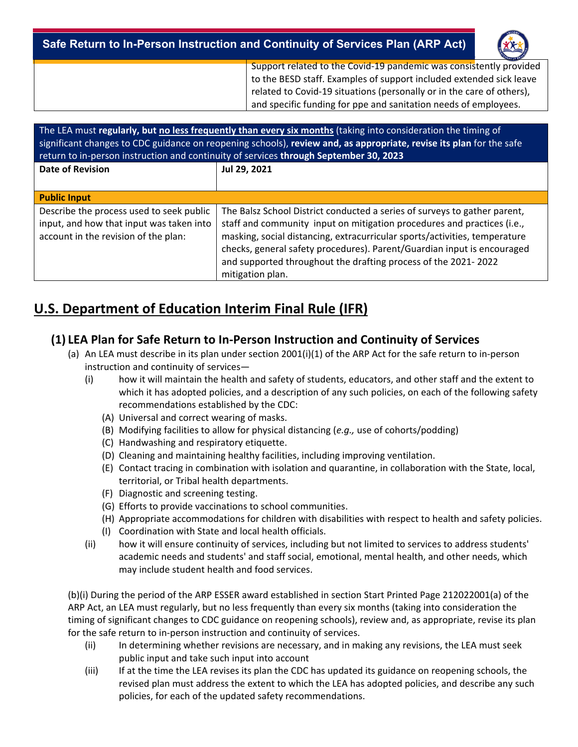| Safe Return to In-Person Instruction and Continuity of Services Plan (ARP Act)                                                                                                                                                                                                        | 202 |
|---------------------------------------------------------------------------------------------------------------------------------------------------------------------------------------------------------------------------------------------------------------------------------------|-----|
| Support related to the Covid-19 pandemic was consistently provided<br>to the BESD staff. Examples of support included extended sick leave<br>related to Covid-19 situations (personally or in the care of others),<br>and specific funding for ppe and sanitation needs of employees. |     |

| The LEA must regularly, but no less frequently than every six months (taking into consideration the timing of<br>significant changes to CDC guidance on reopening schools), review and, as appropriate, revise its plan for the safe<br>return to in-person instruction and continuity of services through September 30, 2023 |                                                                                                                                                                                                                                                                                                                                                                                                     |  |  |  |
|-------------------------------------------------------------------------------------------------------------------------------------------------------------------------------------------------------------------------------------------------------------------------------------------------------------------------------|-----------------------------------------------------------------------------------------------------------------------------------------------------------------------------------------------------------------------------------------------------------------------------------------------------------------------------------------------------------------------------------------------------|--|--|--|
| <b>Date of Revision</b>                                                                                                                                                                                                                                                                                                       | Jul 29, 2021                                                                                                                                                                                                                                                                                                                                                                                        |  |  |  |
|                                                                                                                                                                                                                                                                                                                               |                                                                                                                                                                                                                                                                                                                                                                                                     |  |  |  |
| <b>Public Input</b>                                                                                                                                                                                                                                                                                                           |                                                                                                                                                                                                                                                                                                                                                                                                     |  |  |  |
| Describe the process used to seek public<br>input, and how that input was taken into<br>account in the revision of the plan:                                                                                                                                                                                                  | The Balsz School District conducted a series of surveys to gather parent,<br>staff and community input on mitigation procedures and practices (i.e.,<br>masking, social distancing, extracurricular sports/activities, temperature<br>checks, general safety procedures). Parent/Guardian input is encouraged<br>and supported throughout the drafting process of the 2021-2022<br>mitigation plan. |  |  |  |

# **U.S. Department of Education Interim Final Rule (IFR)**

### **(1) LEA Plan for Safe Return to In‐Person Instruction and Continuity of Services**

- (a) An LEA must describe in its plan under section 2001(i)(1) of the ARP Act for the safe return to in‐person instruction and continuity of services—
	- (i) how it will maintain the health and safety of students, educators, and other staff and the extent to which it has adopted policies, and a description of any such policies, on each of the following safety recommendations established by the CDC:
		- (A) Universal and correct wearing of masks.
		- (B) Modifying facilities to allow for physical distancing (*e.g.,* use of cohorts/podding)
		- (C) Handwashing and respiratory etiquette.
		- (D) Cleaning and maintaining healthy facilities, including improving ventilation.
		- (E) Contact tracing in combination with isolation and quarantine, in collaboration with the State, local, territorial, or Tribal health departments.
		- (F) Diagnostic and screening testing.
		- (G) Efforts to provide vaccinations to school communities.
		- (H) Appropriate accommodations for children with disabilities with respect to health and safety policies.
		- (I) Coordination with State and local health officials.
	- (ii) how it will ensure continuity of services, including but not limited to services to address students' academic needs and students' and staff social, emotional, mental health, and other needs, which may include student health and food services.

(b)(i) During the period of the ARP ESSER award established in section Start Printed Page 212022001(a) of the ARP Act, an LEA must regularly, but no less frequently than every six months (taking into consideration the timing of significant changes to CDC guidance on reopening schools), review and, as appropriate, revise its plan for the safe return to in-person instruction and continuity of services.

- (ii) In determining whether revisions are necessary, and in making any revisions, the LEA must seek public input and take such input into account
- (iii) If at the time the LEA revises its plan the CDC has updated its guidance on reopening schools, the revised plan must address the extent to which the LEA has adopted policies, and describe any such policies, for each of the updated safety recommendations.